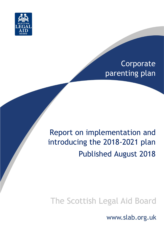

# Corporate parenting plan

# Report on implementation and introducing the 2018-2021 plan Published August 2018

# The Scottish Legal Aid Board

www.slab.org.uk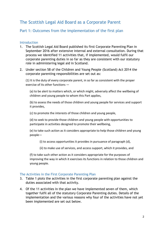# The Scottish Legal Aid Board as a Corporate Parent

## Part 1: Outcomes from the implementation of the first plan

#### **Introduction**

- 1. The Scottish Legal Aid Board published its first Corporate Parenting Plan in September 2016 after extensive internal and external consultation. During that process we identified 11 activities that, if implemented, would fulfil our corporate parenting duties in so far as they are consistent with our statutory role in administering legal aid in Scotland.
- 2. Under section 58 of the Children and Young People (Scotland) Act 2014 the corporate parenting responsibilities are set out as:

(1) It is the duty of every corporate parent, in so far as consistent with the proper exercise of its other functions —

(a) to be alert to matters which, or which might, adversely affect the wellbeing of children and young people to whom this Part applies,

(b) to assess the needs of those children and young people for services and support it provides,

(c) to promote the interests of those children and young people,

(d) to seek to provide those children and young people with opportunities to participate in activities designed to promote their wellbeing,

(e) to take such action as it considers appropriate to help those children and young people—

(i) to access opportunities it provides in pursuance of paragraph (d),

(ii) to make use of services, and access support, which it provides, and

(f) to take such other action as it considers appropriate for the purposes of improving the way in which it exercises its functions in relation to those children and young people.

#### The Activities in the First Corporate Parenting Plan

- 3. Table 1 plots the activities in the first corporate parenting plan against the duties associated with that activity.
- 4. Of the 11 activities in the plan we have implemented seven of them, which together fulfil all of the statutory Corporate Parenting duties. Details of the implementation and the various reasons why four of the activities have not yet been implemented are set out below.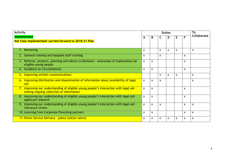| <b>Activity</b>                                                                                                                     |                           | <b>Duties</b> |              |   |    |                           | To                        |
|-------------------------------------------------------------------------------------------------------------------------------------|---------------------------|---------------|--------------|---|----|---------------------------|---------------------------|
| <b>Implemented</b>                                                                                                                  |                           | B             | C            | D | E. | F                         | Collaborate               |
| Not fully implemented/ carried forward to 2018-21 Plan                                                                              |                           |               |              |   |    |                           |                           |
|                                                                                                                                     |                           |               |              |   |    |                           |                           |
| 1. Mentoring                                                                                                                        | $\boldsymbol{\mathsf{x}}$ |               | X            | X | X  |                           | X                         |
| 2. General training and bespoke staff training                                                                                      | $\mathsf{x}$              |               | X            |   |    | X                         |                           |
| 3. Reforms, projects, planning and advice to Ministers - awareness of implications for<br>eligible young people                     | $\mathsf{x}$              | $\mathsf{x}$  |              |   |    | X                         |                           |
| 4. Guidance on circumstances                                                                                                        | $\boldsymbol{\mathsf{x}}$ | $\mathsf{x}$  |              |   |    | X                         |                           |
| 5. Improving written communications                                                                                                 |                           |               | $\mathsf{x}$ | X | X  |                           | X                         |
| 6. Improving distribution and dissemination of information about availability of legal<br>aid                                       | $\mathsf{x}$              | $\mathsf{x}$  | $\mathsf{x}$ |   |    |                           | $\mathsf{x}$              |
| 7. Improving our understanding of eligible young people's interaction with legal aid -<br>testing ongoing collection of information | $\mathsf{x}$              | $\mathbf{x}$  |              |   |    | X                         |                           |
| 8. Improving our understanding of eligible young people's interaction with legal aid -<br>applicant research                        | $\mathsf{x}$              | $\mathsf{x}$  |              |   |    | X                         |                           |
| Improving our understanding of eligible young people's interaction with legal aid -<br>9.<br>literature review                      | $\mathsf{x}$              | $\mathsf{x}$  | $\mathsf{x}$ |   |    | $\boldsymbol{\mathsf{x}}$ | $\boldsymbol{\mathsf{x}}$ |
| 10. Learning from Corporate Parenting partners                                                                                      | $\boldsymbol{\mathsf{x}}$ | $\mathsf{x}$  |              |   |    | X                         | X                         |
| 11. Direct Service Delivery - police station advice                                                                                 | $\boldsymbol{\mathsf{x}}$ | $\mathsf{x}$  | $\mathsf{x}$ | X | X  | X                         | $\pmb{\times}$            |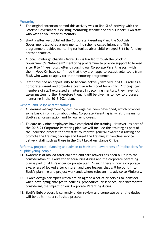#### **Mentoring**

- 5. The original intention behind this activity was to link SLAB activity with the Scottish Government's existing mentoring scheme and thus support SLAB staff who wish to volunteer as mentors.
- 6. Shortly after we published the Corporate Parenting Plan, the Scottish Government launched a new mentoring scheme called Intandem. This programme provides mentoring for looked after children aged 8-14 by funding partner charities.
- 7. A local Edinburgh charity Move On is funded through the Scottish Government's "Intandem" mentoring programme to provide support to looked after 8 to 14 year olds. After discussing our Corporate Parenting plan with them, Move On have confirmed that they are happy to accept volunteers from SLAB who want to apply for their mentoring programme.
- 8. Staff have had an opportunity to become actively involved in SLAB's role as a Corporate Parent and provide a positive role model for a child. Although two members of staff expressed an interest in becoming mentors, they have not taken matters further therefore thought will be given as to how to progress mentoring in the 2018-2021 plan.

#### General and Bespoke staff training

- 9. A Learning Management System package has been developed, which provides some basic information about what Corporate Parenting is, what it means for SLAB as an organisation and for our employees.
- 10. To date only nine employees have completed the training. However, as part of the 2018-21 Corporate Parenting plan we will include this training as part of the induction process for new staff to improve general awareness raising and promote the training package and target the training at frontline service delivery staff such as those in the Civil Legal Assistance Office.

Reforms, projects, planning and advice to Ministers – awareness of implications for eligible young people

- 11. Awareness of looked after children and care leavers has been built into the consideration of SLAB's wider equalities duties and the corporate parenting plan is part of SLAB's wider corporate plan. As such there is now a corporate awareness of looked after children and care leavers that will be built in to SLAB's planning and project work and, where relevant, its advice to Ministers.
- 12. SLAB's design principles which are an agreed a set of principles to consider when developing changes to policies, procedures, or services, also incorporate considering the impact on our Corporate Parenting duties.
- 13. SLAB's EqIA process is currently under review and corporate parenting duties will be built in to a refreshed process.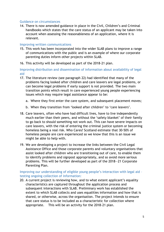#### Guidance on circumstances

14. There is now amended guidance in place in the Civil, Children's and Criminal handbooks which states that the care status of an applicant may be taken into account when assessing the reasonableness of an application, where it is relevant.

#### Improving written communications

- 15. This work has been incorporated into the wider SLAB plans to improve a range of communications with the public and is an example of where our corporate parenting duties inform other projects within SLAB.
- 16. This activity will be developed as part of the 2018-21 plan.

Improving distribution and dissemination of information about availability of legal aid

- 17. The literature review (see paragraph 22) had identified that many of the problems facing looked after children and care leavers are legal problems, or can become legal problems if early support is not provided. The two main transition points which result in care experienced young people experiencing issues which may require legal assistance appear to be:
	- a. Where they first enter the care system, and subsequent placement moves;
	- b. When they transition from 'looked after children' to 'care leavers'.
- 18. Care leavers, often who have had difficult lives, have to live independently much earlier than their peers, and without the 'safety blanket' of their family to go back to should something not work out. This can have severe impacts on care leavers, with the risk of entering the criminal justice system or becoming homeless being a real risk. Who Cares? Scotland estimate that 30-50% of homeless people are care experienced so we know that this is an issue we might be able to help with.
- 19. We are developing a project to increase the links between the Civil Legal Assistance Office and those corporate parents and voluntary organisations that assist looked after children who are transitioning out of care, to enable them to identify problems and signpost appropriately, and so avoid more serious problems. This will be further developed as part of the 2018—21 Corporate Parenting Plan.

#### Improving our understanding of eligible young people's interaction with legal aid – testing ongoing collection of information:

20. A current project is reviewing how, and to what extent applicant's equality characteristics are captured throughout the application process and subsequent interactions with SLAB. Preliminary work has established the extent to which SLAB collects and uses equalities information and how that is shared, or otherwise, across the organisation. The project intends to ensure that care status is to be included as a characteristic for collection where appropriate. This will be an activity for the 2018-21 plan.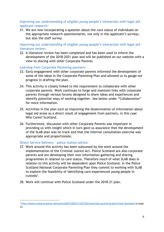Improving our understanding of eligible young people's interaction with legal aid – applicant research:

21. We are now incorporating a question about the care status of individuals on the appropriate research questionnaires, not only in the applicant's surveys, but also the staff survey.

Improving our understanding of eligible young people's interaction with legal aid – literature review:

22. A literature review has been completed and has been used to inform the development of the 2018-2021 plan and will be published on our website with a view to sharing with other Corporate Parents.

#### Learning from Corporate Parenting partners:

- 23. Early engagement with other corporate parents informed the development of some of the ideas in the Corporate Parenting Plan and allowed us to gauge our progress in drafting the plan.
- 24. This activity is closely linked to the requirement to collaborate with other corporate parents. Work continues to forge and maintain links with corporate parents through various forums designed to share ideas and experiences and identify potential ways of working together. See below under "Collaboration" for more information.
- 25. Activities in the plan such as improving the dissemination of information about legal aid arose as a direct result of engagement from partners, in this case Who Cares? Scotland.
- 26. Furthermore, discussion with other Corporate Parents was important in providing us with insight which in turn gave us assurance that the development of the SLAB plan was on track and that the internal consultation exercise was appropriate and proportionate.

#### Direct Service Delivery – police station advice:

 $\overline{a}$ 

- 27. Work around this activity has been subsumed by the work around the implementation of the Criminal Justice Act. Police Scotland are also corporate parents and are developing their own information gathering and sharing programmes in relation to care status. Therefore much of what SLAB does in relation to this activity will be dependent upon Police Scotland. In the Police Scotland National Corporate Parenting Plan they commit to working with SLAB to explore the feasibility of identifying care experienced young people in custody<sup>1</sup>.
- 28. Work will continue with Police Scotland under the 2018-21 plan.

<sup>1</sup> <http://www.scotland.police.uk/assets/pdf/138327/150739/corporate-parenting-plan?view=Standard> at page 12.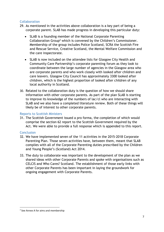#### **Collaboration**

- 29. As mentioned in the activities above collaboration is a key part of being a corporate parent. SLAB has made progress in developing this particular duty:
	- SLAB is a founding member of the National Corporate Parenting Collaboration Group<sup>2</sup> which is convened by the Children's Commissioner. Membership of the group includes Police Scotland, SCRA the Scottish Fire and Rescue Service, Creative Scotland, the Mental Welfare Commission and the care inspectorate.
	- SLAB is now included on the attendee lists for Glasgow City Health and Community Care Partnership's corporate parenting forum as they look to coordinate between the large number of agencies in the Glasgow area who are corporate parents and who work closely with looked after children and care leavers. Glasgow City Council has approximately 3300 looked after children, which is the highest proportion of looked after children of any local authority in Scotland.
- 30. Related to the collaboration duty is the question of how we should share information with other corporate parents. As part of the plan SLAB is starting to improve its knowledge of the numbers of lac/cl who are interacting with SLAB and we also have a completed literature review. Both of these things will likely be of interest to other corporate parents.

### Reports to Scottish Ministers

31. The Scottish Government issued a pro forma, the completion of which would comprise the section 62 report to the Scottish Government required by the Act. We were able to provide a full response which is appended to this report.

#### **Conclusion**

**.** 

- 32. We have implemented seven of the 11 activities in the 2015-2018 Corporate Parenting Plan. Those seven activities have, between them, meant that SLAB complies with all of the Corporate Parenting duties prescribed by the Children and Young People's (Scotland) Act 2014.
- 33. The duty to collaborate was important to the development of the plan as we shared ideas with other Corporate Parents and spoke with organisations such as CELCIS and Who Cares? Scotland. The establishment of those early links with other Corporate Parents has been important in laying the groundwork for ongoing engagement with Corporate Parents.

<sup>&</sup>lt;sup>2</sup> See Annex A for aims and membership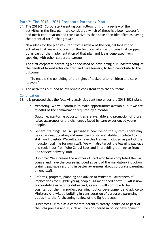## Part 2: The 2018 – 2021 Corporate Parenting Plan

- 34. The 2018-21 Corporate Parenting plan follows on from a review of the activities in the first plan. We considered which of those had been successful and merit continuation and those activities that have been identified as having the potential for further growth.
- 35. New ideas for the plan resulted from a review of the original long list of activities that were produced for the first plan along with ideas that cropped up as part of the implementation of that plan and ideas generated from speaking with other corporate parents.
- 36. The first corporate parenting plan focussed on developing our understanding of the needs of looked after children and care leavers, to help contribute to the outcome:

"To enable the upholding of the rights of looked after children and care leavers"

37. The activities outlined below remain consistent with that outcome.

#### **Continuation**

- 38. It is proposed that the following activities continue under the 2018-2021 plan:
	- a. Mentoring: We will continue to make opportunities available, but we are mindful of the commitment required by a mentor.

Outcome: Mentoring opportunities are available and promotion of those raises awareness of the challenges faced by care experienced young people.

b. General training: The LMS package is now live on the system. There may be occasional updating and reminders of its availability circulated to staff via Intraslab. We will also have this training included as part of the induction training for new staff. We will also target the learning package and seek input from Who Cares? Scotland in providing training to front line service delivery staff.

Outcome: We increase the number of staff who have completed the LMS course and have the course included as part of the mandatory induction training package resulting in better awareness about corporate parenting among staff.

c. Reforms, projects, planning and advice to Ministers – awareness of implications for eligible young people: As mentioned above, SLAB is now corporately aware of its duties and, as such, will continue to be cognisant of them in project planning, policy development and advice to Ministers And will be building in consideration of corporate parenting duties into the forthcoming review of the EqIA process.

Outcome: Our role as a corporate parent is clearly identified as part of the EqIA process and as such will be considered in policy development.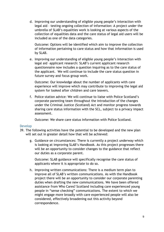d. Improving our understanding of eligible young people's interaction with legal aid – testing ongoing collection of information: A project under the umbrella of SLAB's equalities work is looking at various aspects of the collection of equalities data and the care status of legal aid users will be included as one of the data categories.

Outcome: Options will be identified which aim to improve the collection of information pertaining to care status and how that information is used by SLAB.

e. Improving our understanding of eligible young people's interaction with legal aid –applicant research: SLAB's current applicant research questionnaire now includes a question inquiring as to the care status of the applicant. We will continue to include the care status question in future survey and focus group work.

Outcome: Our knowledge about the number of applicants with care experience will improve which may contribute to improving the legal aid system for looked after children and care leavers.

f. Police station advice: We will continue to liaise with Police Scotland's corporate parenting team throughout the introduction of the changes under the Criminal Justice (Scotland) Act and monitor progress towards sharing care status information with the SCL, subject to a privacy impact assessment.

Outcome: We share care status information with Police Scotland.

#### Develop

- 39. The following activities have the potential to be developed and the new plan will set out in greater detail how that will be achieved:
	- g. Guidance on circumstances: There is currently a project underway which is looking at improving SLAB's Handbook. As this project progresses there will be an opportunity to consider changes to the guidance that reflect our duties as a corporate parent.

Outcome: SLAB guidance will specifically recognise the care status of applicants where it is appropriate to do so.

h. Improving written communications: There is a medium term plan to improve all of SLAB's written communications. As with the Handbook project there will be an opportunity to consider our corporate parenting duties when drafting the new communications. We have been offered assistance from Who Cares? Scotland including care experienced young people in "sense checking" communications. The extent to which we might engage more broadly with care experienced people will also be considered, effectively broadening out this activity beyond correspondence.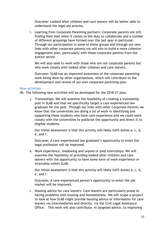Outcome: Looked after children and care leavers will be better able to understand the legal aid process.

i. Learning from Corporate Parenting partners: Corporate parents are still finding their feet when it comes to the duty to collaborate and a number of different groupings have formed over the last year in particular. Through our participation in some of these groups and through our new links with other corporate parents we will aim to build a more cohesive engagement plan, particularly with those corporate parents from the justice sector.

We will also seek to work with those who are not corporate parents but who work closely with looked after children and care leavers.

Outcome: SLAB has an improved awareness of the corporate parenting work being done by other organisations, which will contribute to the development and review of our own corporate parenting plan.

#### New activities

40. The following new activities will be developed for the 2018-21 plan:

j. Traineeships: We will examine the feasibility of creating a traineeship post in SLAB and that we specifically target a care experienced law graduate for the post. Through our links with other Corporate Parents we know that the universities are doing a lot of work in identifying and supporting those students who have care experience and we could work closely with the universities to publicise the opportunity and direct it to eligible students.

Our initial assessment is that this activity will likely fulfil duties a, c, d, e, and f.

Outcome: A care experienced law graduate's opportunity to enter the legal profession will be improved.

k. Work experience, shadowing and unpaid or paid internships: We will examine the feasibility of providing looked after children and care leavers with the opportunity to have some form of work experience or internship within SLAB.

Our initial assessment is that this activity will likely fulfil duties a, c, d, e, and f.

Outcome: A care experienced person's opportunity to enter the job market will be improved.

l. Housing advice for care leavers: Care leavers are particularly prone to having problems with housing and homelessness. We will scope a project to look at how SLAB might provide housing advice or information for care leavers via intermediaries and directly, via the Civil Legal Assistance Office. This work will also contribute, in targeted advice, to improving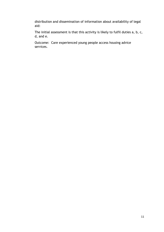distribution and dissemination of information about availability of legal aid:

The initial assessment is that this activity is likely to fulfil duties a, b, c, d, and e.

Outcome: Care experienced young people access housing advice services.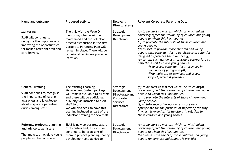| Name and outcome                                                                                                                                                   | <b>Proposed activity</b>                                                                                                                                                                                                                                                                  | Relevant<br>Directorate(s)                                                                 | <b>Relevant Corporate Parenting Duty</b>                                                                                                                                                                                                                                                                                                                                                                                                                                                                                                                                                                                            |
|--------------------------------------------------------------------------------------------------------------------------------------------------------------------|-------------------------------------------------------------------------------------------------------------------------------------------------------------------------------------------------------------------------------------------------------------------------------------------|--------------------------------------------------------------------------------------------|-------------------------------------------------------------------------------------------------------------------------------------------------------------------------------------------------------------------------------------------------------------------------------------------------------------------------------------------------------------------------------------------------------------------------------------------------------------------------------------------------------------------------------------------------------------------------------------------------------------------------------------|
| Mentoring<br>SLAB will continue to<br>recognise the importance of<br>improving the opportunities<br>for looked after children and<br>care leavers.                 | The link with the Move On<br>mentoring scheme will be<br>maintained and the selection<br>process established in the first<br><b>Corporate Parenting Plan will</b><br>remain in place. There will be<br>occasional reminders posted on<br>Intraslab.                                       | Strategic<br>Development<br><b>Directorate</b>                                             | (a) to be alert to matters which, or which might,<br>adversely affect the wellbeing of children and young<br>people to whom this Part applies,<br>(c) to promote the interests of those children and<br>young people,<br>(d) to seek to provide those children and young<br>people with opportunities to participate in activities<br>designed to promote their wellbeing,<br>(e) to take such action as it considers appropriate to<br>help those children and young people-<br>(i) to access opportunities it provides in<br>pursuance of paragraph (d),<br>(ii)to make use of services, and access<br>support, which it provides |
| <b>General Training</b><br>SLAB continues to recognise<br>the importance of raising<br>awareness and knowledge<br>about corporate parenting<br>duties among staff. | The existing Learning<br>Management System package<br>will remain available to all staff<br>and there will be additional<br>publicity via Intraslab to alert<br>staff to this.<br>We will also seek to have this<br>training included as part of the<br>induction training for new staff. | Strategic<br>Development<br>Directorate and<br>Corporate<br><b>Services</b><br>Directorate | (a) to be alert to matters which, or which might,<br>adversely affect the wellbeing of children and young<br>people to whom this Part applies,<br>(c) to promote the interests of those children and<br>young people,<br>(f) to take such other action as it considers<br>appropriate for the purposes of improving the way<br>in which it exercises its functions in relation to<br>those children and young people.                                                                                                                                                                                                               |
| Reforms, projects, planning<br>and advice to Ministers<br>The impacts on eligible young<br>people will be considered                                               | SLAB is now corporately aware<br>of its duties and, as such, will<br>continue to be cognisant of<br>them in project planning, policy<br>development and advice to                                                                                                                         | Strategic<br>Development<br>Directorate                                                    | (a) to be alert to matters which, or which might,<br>adversely affect the wellbeing of children and young<br>people to whom this Part applies,<br>(b) to assess the needs of those children and young<br>people for services and support it provides,                                                                                                                                                                                                                                                                                                                                                                               |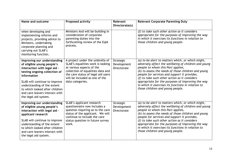| Name and outcome                                                                                                                                                                                                                                                                                       | <b>Proposed activity</b>                                                                                                                                                                                                           | Relevant<br>Directorate(s)              | <b>Relevant Corporate Parenting Duty</b>                                                                                                                                                                                                                                                                                                                                                                                                              |
|--------------------------------------------------------------------------------------------------------------------------------------------------------------------------------------------------------------------------------------------------------------------------------------------------------|------------------------------------------------------------------------------------------------------------------------------------------------------------------------------------------------------------------------------------|-----------------------------------------|-------------------------------------------------------------------------------------------------------------------------------------------------------------------------------------------------------------------------------------------------------------------------------------------------------------------------------------------------------------------------------------------------------------------------------------------------------|
| when developing and<br>implementing reforms and<br>projects, providing advice to<br>Ministers, undertaking<br>corporate planning and<br>carrying out SLAB's<br>monitoring function.                                                                                                                    | Ministers And will be building in<br>consideration of corporate<br>parenting duties into the<br>forthcoming review of the EqIA<br>process.                                                                                         |                                         | (f) to take such other action as it considers<br>appropriate for the purposes of improving the way<br>in which it exercises its functions in relation to<br>those children and young people.                                                                                                                                                                                                                                                          |
| Improving our understanding<br>of eligible young people's<br>interaction with legal aid -<br>testing ongoing collection of<br>information<br>SLAB will continue to improve<br>understanding of the extent<br>to which looked after children<br>and care leavers interact with<br>the legal aid system. | A project under the umbrella of<br>SLAB's equalities work is looking<br>at various aspects of the<br>collection of equalities data and<br>the care status of legal aid users<br>will be included as one of the<br>data categories. | Strategic<br>Development<br>Directorate | (a) to be alert to matters which, or which might,<br>adversely affect the wellbeing of children and young<br>people to whom this Part applies,<br>(b) to assess the needs of those children and young<br>people for services and support it provides,<br>(f) to take such other action as it considers<br>appropriate for the purposes of improving the way<br>in which it exercises its functions in relation to<br>those children and young people. |
| Improving our understanding<br>of eligible young people's<br>interaction with legal aid -<br>applicant research<br>SLAB will continue to improve<br>understanding of the extent<br>to which looked after children<br>and care leavers interact with<br>the legal aid system.                           | SLAB's applicant research<br>questionnaire now includes a<br>question inquiring as to the care<br>status of the applicant. We will<br>continue to include the care<br>status question in future survey<br>work.                    | Strategic<br>Development<br>Directorate | (a) to be alert to matters which, or which might,<br>adversely affect the wellbeing of children and young<br>people to whom this Part applies,<br>(b) to assess the needs of those children and young<br>people for services and support it provides,<br>(f) to take such other action as it considers<br>appropriate for the purposes of improving the way<br>in which it exercises its functions in relation to<br>those children and young people. |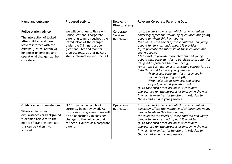| Name and outcome                                                                                                                                                                                                           | <b>Proposed activity</b>                                                                                                                                                                                                                                        | Relevant<br>Directorate(s)                  | <b>Relevant Corporate Parenting Duty</b>                                                                                                                                                                                                                                                                                                                                                                                                                                                                                                                                                                                                                                                                                                                                                                                                                                                                                                        |
|----------------------------------------------------------------------------------------------------------------------------------------------------------------------------------------------------------------------------|-----------------------------------------------------------------------------------------------------------------------------------------------------------------------------------------------------------------------------------------------------------------|---------------------------------------------|-------------------------------------------------------------------------------------------------------------------------------------------------------------------------------------------------------------------------------------------------------------------------------------------------------------------------------------------------------------------------------------------------------------------------------------------------------------------------------------------------------------------------------------------------------------------------------------------------------------------------------------------------------------------------------------------------------------------------------------------------------------------------------------------------------------------------------------------------------------------------------------------------------------------------------------------------|
| <b>Police station advice</b><br>The interaction of looked<br>after children and care<br>leavers interact with the<br>criminal justice system will<br>be better understood and<br>operational changes can be<br>considered. | We will continue to liaise with<br>Police Scotland's corporate<br>parenting team throughout the<br>introduction of the changes<br>under the Criminal Justice<br>(Scotland) Act and monitor<br>progress towards sharing care<br>status information with the SCL. | Corporate<br><b>Services</b><br>Directorate | (a) to be alert to matters which, or which might,<br>adversely affect the wellbeing of children and young<br>people to whom this Part applies,<br>(b) to assess the needs of those children and young<br>people for services and support it provides,<br>(c) to promote the interests of those children and<br>young people,<br>(d) to seek to provide those children and young<br>people with opportunities to participate in activities<br>designed to promote their wellbeing,<br>(e) to take such action as it considers appropriate to<br>help those children and young people-<br>(i) to access opportunities it provides in<br>pursuance of paragraph (d),<br>(ii)to make use of services, and access<br>support, which it provides, and<br>(f) to take such other action as it considers<br>appropriate for the purposes of improving the way<br>in which it exercises its functions in relation to<br>those children and young people. |
| <b>Guidance on circumstances</b><br>Where an individual's<br>circumstances or background<br>is deemed relevant to the<br>merits of granting legal aid,<br>this can be taken into<br>account.                               | SLAB's guidance handbook is<br>currently being reviewed. As<br>this review progresses there will<br>be an opportunity to consider<br>changes to the guidance that<br>reflect our duties as a corporate<br>parent.                                               | <b>Operations</b><br>Directorate            | (a) to be alert to matters which, or which might,<br>adversely affect the wellbeing of children and young<br>people to whom this Part applies,<br>(b) to assess the needs of those children and young<br>people for services and support it provides,<br>(f) to take such other action as it considers<br>appropriate for the purposes of improving the way<br>in which it exercises its functions in relation to<br>those children and young people.                                                                                                                                                                                                                                                                                                                                                                                                                                                                                           |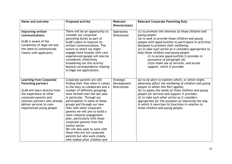| Name and outcome                                                                                                                                                                                                                           | <b>Proposed activity</b>                                                                                                                                                                                                                                                                                                                                                                                                                                                                                                                                                              | Relevant<br>Directorate(s)              | <b>Relevant Corporate Parenting Duty</b>                                                                                                                                                                                                                                                                                                                                                                                                                                          |
|--------------------------------------------------------------------------------------------------------------------------------------------------------------------------------------------------------------------------------------------|---------------------------------------------------------------------------------------------------------------------------------------------------------------------------------------------------------------------------------------------------------------------------------------------------------------------------------------------------------------------------------------------------------------------------------------------------------------------------------------------------------------------------------------------------------------------------------------|-----------------------------------------|-----------------------------------------------------------------------------------------------------------------------------------------------------------------------------------------------------------------------------------------------------------------------------------------------------------------------------------------------------------------------------------------------------------------------------------------------------------------------------------|
| Improving written<br>communications<br>SLAB is aware of the<br>complexity of legal aid and<br>the need to communicate<br>clearly with applicants.                                                                                          | There will be an opportunity to<br>consider our corporate<br>parenting duties as part of<br>SLAB's plans to improve its<br>written communications. The<br>extent to which we might<br>engage more broadly with care<br>experienced people will also be<br>considered, effectively<br>broadening out this activity<br>beyond correspondence relating<br>to legal aid applications.                                                                                                                                                                                                     | <b>Operations</b><br>Directorate        | (c) to promote the interests of those children and<br>young people,<br>(d) to seek to provide those children and young<br>people with opportunities to participate in activities<br>designed to promote their wellbeing,<br>(e) to take such action as it considers appropriate to<br>help those children and young people-<br>(i) to access opportunities it provides in<br>pursuance of paragraph (d),<br>(ii)to make use of services, and access<br>support, which it provides |
| <b>Learning from Corporate</b><br><b>Parenting partners</b><br>SLAB will learn directly from<br>the experience of other<br>corporate parents and<br>relevant partners who already<br>deliver services to care-<br>experienced young people | Corporate parents are still<br>finding their feet when it comes<br>to the duty to collaborate and a<br>number of different groupings<br>have formed over the last year<br>in particular. Through our<br>participation in some of these<br>groups and through our new<br>links with other corporate<br>parents we will aim to build a<br>more cohesive engagement<br>plan, particularly with those<br>corporate parents from the<br>justice sector.<br>We will also seek to work with<br>those who are not corporate<br>parents but who work closely<br>with looked after children and | Strategic<br>Development<br>Directorate | (a) to be alert to matters which, or which might,<br>adversely affect the wellbeing of children and young<br>people to whom this Part applies,<br>(b) to assess the needs of those children and young<br>people for services and support it provides,<br>(f) to take such other action as it considers<br>appropriate for the purposes of improving the way<br>in which it exercises its functions in relation to<br>those children and young people.                             |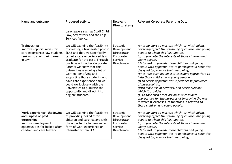| Name and outcome                                                                                                                                      | <b>Proposed activity</b>                                                                                                                                                                                                                                                                                                                                                                                                                                                                   | Relevant<br>Directorate(s)                                                            | <b>Relevant Corporate Parenting Duty</b>                                                                                                                                                                                                                                                                                                                                                                                                                                                                                                                                                                                                                                                                                                                                                                                             |
|-------------------------------------------------------------------------------------------------------------------------------------------------------|--------------------------------------------------------------------------------------------------------------------------------------------------------------------------------------------------------------------------------------------------------------------------------------------------------------------------------------------------------------------------------------------------------------------------------------------------------------------------------------------|---------------------------------------------------------------------------------------|--------------------------------------------------------------------------------------------------------------------------------------------------------------------------------------------------------------------------------------------------------------------------------------------------------------------------------------------------------------------------------------------------------------------------------------------------------------------------------------------------------------------------------------------------------------------------------------------------------------------------------------------------------------------------------------------------------------------------------------------------------------------------------------------------------------------------------------|
|                                                                                                                                                       | care leavers such as CLAN Child<br>Law, Streetwork and the Legal<br>Services Agency.                                                                                                                                                                                                                                                                                                                                                                                                       |                                                                                       |                                                                                                                                                                                                                                                                                                                                                                                                                                                                                                                                                                                                                                                                                                                                                                                                                                      |
| <b>Traineeships</b><br>Improves opportunities for<br>care experiences law students<br>seeking to start their career<br>in law.                        | We will examine the feasibility<br>of creating a traineeship post in<br>SLAB and that we specifically<br>target a care experienced law<br>graduate for the post. Through<br>our links with other Corporate<br>Parents we know that the<br>universities are doing a lot of<br>work in identifying and<br>supporting those students who<br>have care experience and we<br>could work closely with the<br>universities to publicise the<br>opportunity and direct it to<br>eligible students. | Strategic<br>Development<br><b>Directorate</b><br>Corporate<br>Service<br>Directorate | (a) to be alert to matters which, or which might,<br>adversely affect the wellbeing of children and young<br>people to whom this Part applies,<br>(c) to promote the interests of those children and<br>young people,<br>(d) to seek to provide those children and young<br>people with opportunities to participate in activities<br>designed to promote their wellbeing,<br>(e) to take such action as it considers appropriate to<br>help those children and young people-<br>(i) to access opportunities it provides in pursuance<br>of paragraph (d),<br>(ii) to make use of services, and access support,<br>which it provides<br>(f) to take such other action as it considers<br>appropriate for the purposes of improving the way<br>in which it exercises its functions in relation to<br>those children and young people. |
| Work experience, shadowing<br>and unpaid or paid<br>internships<br>Improves employment<br>opportunities for looked after<br>children and care leavers | We will examine the feasibility<br>of providing looked after<br>children and care leavers with<br>the opportunity to have some<br>form of work experience or<br>internship within SLAB.                                                                                                                                                                                                                                                                                                    | Strategic<br>Development<br><b>Directorate</b><br>Corporate<br>Service<br>Directorate | (a) to be alert to matters which, or which might,<br>adversely affect the wellbeing of children and young<br>people to whom this Part applies,<br>(c) to promote the interests of those children and<br>young people,<br>(d) to seek to provide those children and young<br>people with opportunities to participate in activities<br>designed to promote their wellbeing,                                                                                                                                                                                                                                                                                                                                                                                                                                                           |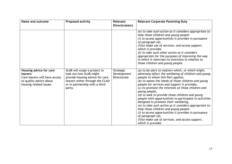| Name and outcome                                                                                                          | <b>Proposed activity</b>                                                                                                                                                  | Relevant<br>Directorate(s)              | <b>Relevant Corporate Parenting Duty</b>                                                                                                                                                                                                                                                                                                                                                                                                                                                                                                                                                                                                                                                                                                    |
|---------------------------------------------------------------------------------------------------------------------------|---------------------------------------------------------------------------------------------------------------------------------------------------------------------------|-----------------------------------------|---------------------------------------------------------------------------------------------------------------------------------------------------------------------------------------------------------------------------------------------------------------------------------------------------------------------------------------------------------------------------------------------------------------------------------------------------------------------------------------------------------------------------------------------------------------------------------------------------------------------------------------------------------------------------------------------------------------------------------------------|
|                                                                                                                           |                                                                                                                                                                           |                                         | (e) to take such action as it considers appropriate to<br>help those children and young people-<br>(i) to access opportunities it provides in pursuance<br>of paragraph (d),<br>(ii)to make use of services, and access support,<br>which it provides<br>$(f)$ to take such other action as it considers<br>appropriate for the purposes of improving the way<br>in which it exercises its functions in relation to<br>those children and young people.                                                                                                                                                                                                                                                                                     |
| Housing advice for care<br>leavers<br>Care leavers will have access<br>to quality advice about<br>housing related issues. | SLAB will scope a project to<br>look out how SLAB might<br>provide housing advice for care<br>leavers either through the CLAO<br>or in partnership with a third<br>party. | Strategic<br>Development<br>Directorate | (a) to be alert to matters which, or which might,<br>adversely affect the wellbeing of children and young<br>people to whom this Part applies,<br>(b) to assess the needs of those children and young<br>people for services and support it provides,<br>(c) to promote the interests of those children and<br>young people,<br>(d) to seek to provide those children and young<br>people with opportunities to participate in activities<br>designed to promote their wellbeing,<br>(e) to take such action as it considers appropriate to<br>help those children and young people-<br>(i) to access opportunities it provides in pursuance<br>of paragraph (d),<br>(ii) to make use of services, and access support,<br>which it provides |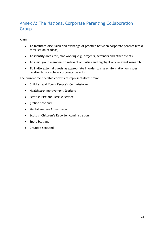# Annex A: The National Corporate Parenting Collaboration Group

Aims:

- To facilitate discussion and exchange of practice between corporate parents (cross fertilisation of ideas)
- To identify areas for joint working e.g. projects, seminars and other events
- To alert group members to relevant activities and highlight any relevant research
- To invite external guests as appropriate in order to share information on issues relating to our role as corporate parents

The current membership consists of representatives from:

- Children and Young People's Commissioner
- Healthcare Improvement Scotland
- Scottish Fire and Rescue Service
- (Police Scotland
- Mental welfare Commission
- Scottish Children's Reporter Administration
- Sport Scotland
- Creative Scotland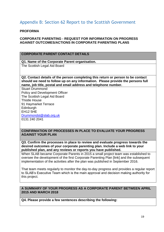## Appendix B: Section 62 Report to the Scottish Government

#### **PROFORMA**

#### **CORPORATE PARENTING - REQUEST FOR INFORMATION ON PROGRESS AGAINST OUTCOMES/ACTIONS IN CORPORATE PARENTING PLANS**

### **CORPORATE PARENT CONTACT DETAILS**

#### **Q1. Name of the Corporate Parent organisation.**

The Scottish Legal Aid Board

**Q2. Contact details of the person completing this return or person to be contact should we need to follow up on any information. Please provide the persons full name, job title, postal and email address and telephone number.**

Stuart Drummond Policy and Development Officer The Scottish Legal Aid Board Thistle House 91 Haymarket Terrace **Edinburgh** EH12 5HE [Drummondst@slab.org.uk](mailto:Drummondst@slab.org.uk) 0131 240 2041

#### **CONFIRMATION OF PROCESSES IN PLACE TO EVALUATE YOUR PROGRESS AGAINST YOUR PLAN**

**Q3. Confirm the processes in place to review and evaluate progress towards the desired outcomes of your corporate parenting plan. Include a web link to your published plan, and any reviews or reports you have published.**

When SLAB became Corporate Parents in 2015 a small project team was established to oversee the development of the first Corporate Parenting Plan [link] and the subsequent implementation of the activities after the plan was published in September 2016.

That team meets regularly to monitor the day-to-day progress and provides a regular report to SLAB's Executive Team which is the main approval and decision making authority for this project.

#### **A SUMMARY OF YOUR PROGRESS AS A CORPORATE PARENT BETWEEN APRIL 2015 AND MARCH 2018**

**Q4. Please provide a few sentences describing the following:**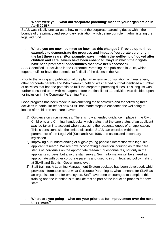#### **i. Where were you - what did 'corporate parenting' mean to your organisation in April 2015?**

SLAB was initially unclear as to how to meet the corporate parenting duties within the bounds of the primary and secondary legislation which define our role in administering the legal aid fund.

**ii. Where you are now - summarise how has this changed? Provide up to three examples to demonstrate the progress and impact of corporate parenting in the last three years. (For example, ways in which the wellbeing of looked after children and care leavers have been enhanced; ways in which their rights have been promoted; opportunities that have been accessed).**

SLAB identified 11 activities in the Corporate Parenting Plan published in 2016, which together fulfil or have the potential to fulfil all of the duties in the Act.

Prior to the writing and publication of the plan an extensive consultation with managers, other corporate parents and Who Cares? Scotland was carried out that identified a number of activities that had the potential to fulfil the corporate parenting duties. This long list was further consulted upon with managers before the final list of 11 activities was decided upon for inclusion in the Corporate Parenting Plan.

Good progress has been made in implementing these activities and the following three activities in particular reflect how SLAB has made steps to enchance the wellbeing of looked after children and care leavers

- 1) Guidance on circumstances: There is now amended guidance in place in the Civil, Children's and Criminal handbooks which states that the care status of an applicant *may* be taken into account when assessing the reasonableness of an application. This is consistent with the limited discretion SLAB can exercise within the parameters of the Legal Aid (Scotland) Act 1986 and associated secondary legislation.
- 2) Improving our understanding of eligible young people's interaction with legal aid applicant research: We are now incorporating a question inquiring as to the care status of individuals on the appropriate research questionnaires, not only in the applicants surveys, but also the staff survey. Such information will be shared as appropriate with other corporate parents and used to inform legal aid policy making at SLAB and Scottish Government level.
- 3) Staff training: A Learning Management System package has been developed, which provides information about what Corporate Parenting is, what it means for SLAB as an organisation and for employees. Staff have been encouraged to complete this training and the intention is to include this as part of the induction process for new staff.

#### **iii. Where are you going – what are your priorities for improvement over the next three years?**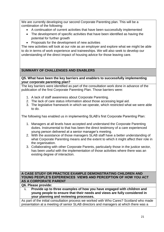We are currently developing our second Corporate Parenting plan. This will be a combination of the following:

- A continuation of current activities that have been successfully implemented
- The development of specific activities that have been identified as having the potential for further growth
- Proposals for the development of new activities

The new activities will look at our role as an employer and explore what we might be able to do in terms of work experience and traineeships. We will also seek to develop our understanding of the direct impact of housing advice for those leaving care.

### **SUMMARY OF CHALLENGES AND ENABLERS**

**Q5. What have been the key barriers and enablers to successfully implementing your corporate parenting plan?**

The key barriers were identified as part of the consultation work done in advance of the publication of the first Corporate Parenting Plan. Those barriers were:

- 1. A lack of staff awareness about Corporate Parenting.
- 2. The lack of care status information about those accessing legal aid.
- 3. The legislative framework in which we operate, which restricted what we were able to do.

The following has enabled us in implementing SLAB's first Corporate Parenting Plan:

- 1. Managers at all levels have accepted and understand the Corporate Parenting duties. Instrumental to that has been the direct testimony of a care experienced young person delivered at a senior manager's meeting.
- 2. With the assistance of those managers SLAB staff have a better understanding of what Corporate Parenting means and the extent to which it might affect their role in the organisation.
- 3. Collaborating with other Corporate Parents, particularly those in the justice sector, has been useful with the implementation of those activities where there was an existing degree of interaction.

#### **A CASE STUDY OR PRACTICE EXAMPLE DEMONSTRATING CHILDREN AND YOUNG PEOPLE'S EXPERIENCES VIEWS AND PERCEPTION OF HOW YOU ACT AS A CORPORATE PARENT**

#### **Q6. Please provide:**

**i. Provide up to three examples of how you have engaged with children and young people to ensure that their needs and views are fully considered in your planning and reviewing processes.**

As part of the initial consultation process we worked with Who Cares? Scotland who made presentation at a meeting of senior SLAB directors and managers at which there was a